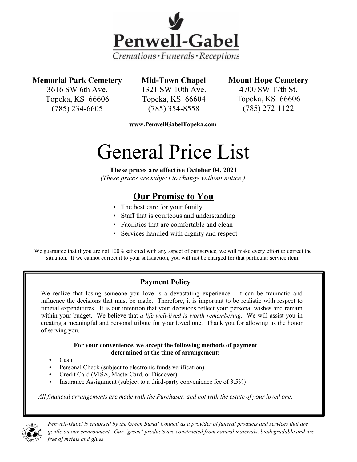

# **Memorial Park Cemetery**

3616 SW 6th Ave. Topeka, KS 66606 (785) 234-6605

**Mid-Town Chapel** 1321 SW 10th Ave. Topeka, KS 66604 (785) 354-8558

**Mount Hope Cemetery**

4700 SW 17th St. Topeka, KS 66606 (785) 272-1122

**www.PenwellGabelTopeka.com**

# General Price List

**These prices are effective October 04, 2021** *(These prices are subject to change without notice.)*

# **Our Promise to You**

- The best care for your family
- Staff that is courteous and understanding
- Facilities that are comfortable and clean
- Services handled with dignity and respect

We guarantee that if you are not 100% satisfied with any aspect of our service, we will make every effort to correct the situation. If we cannot correct it to your satisfaction, you will not be charged for that particular service item.

# **Payment Policy**

We realize that losing someone you love is a devastating experience. It can be traumatic and influence the decisions that must be made. Therefore, it is important to be realistic with respect to funeral expenditures. It is our intention that your decisions reflect your personal wishes and remain within your budget. We believe that *a life well-lived is worth remembering*. We will assist you in creating a meaningful and personal tribute for your loved one. Thank you for allowing us the honor of serving you.

#### **For your convenience, we accept the following methods of payment determined at the time of arrangement:**

- **•** Cash
- **•** Personal Check (subject to electronic funds verification)
- **•** Credit Card (VISA, MasterCard, or Discover)
- Insurance Assignment (subject to a third-party convenience fee of 3.5%)

*All financial arrangements are made with the Purchaser, and not with the estate of your loved one.*



*Penwell-Gabel is endorsed by the Green Burial Council as a provider of funeral products and services that are gentle on our environment. Our "green" products are constructed from natural materials, biodegradable and are free of metals and glues.*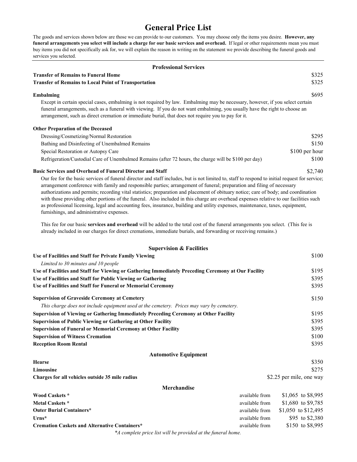# **General Price List**

The goods and services shown below are those we can provide to our customers. You may choose only the items you desire. **However, any funeral arrangements you select will include a charge for our basic services and overhead.** If legal or other requirements mean you must buy items you did not specifically ask for, we will explain the reason in writing on the statement we provide describing the funeral goods and services you selected.

| <b>Professional Services</b>                                                                                                                                                                                                                                              |                |  |
|---------------------------------------------------------------------------------------------------------------------------------------------------------------------------------------------------------------------------------------------------------------------------|----------------|--|
| <b>Transfer of Remains to Funeral Home</b>                                                                                                                                                                                                                                | \$325          |  |
| <b>Transfer of Remains to Local Point of Transportation</b>                                                                                                                                                                                                               | \$325          |  |
| Embalming                                                                                                                                                                                                                                                                 | \$695          |  |
| Except in certain special cases, embalming is not required by law. Embalming may be necessary, however, if you select certain                                                                                                                                             |                |  |
| funeral arrangements, such as a funeral with viewing. If you do not want embalming, you usually have the right to choose an<br>arrangement, such as direct cremation or immediate burial, that does not require you to pay for it.                                        |                |  |
| <b>Other Preparation of the Deceased</b>                                                                                                                                                                                                                                  |                |  |
| Dressing/Cosmetizing/Normal Restoration                                                                                                                                                                                                                                   | \$295          |  |
| Bathing and Disinfecting of Unembalmed Remains                                                                                                                                                                                                                            | \$150          |  |
| Special Restoration or Autopsy Care                                                                                                                                                                                                                                       | \$100 per hour |  |
| Refrigeration/Custodial Care of Unembalmed Remains (after 72 hours, the charge will be \$100 per day)                                                                                                                                                                     | \$100          |  |
| <b>Basic Services and Overhead of Funeral Director and Staff</b>                                                                                                                                                                                                          | \$2,740        |  |
| Our fee for the basic services of funeral director and staff includes, but is not limited to, staff to respond to initial request for service;<br>arrangement conference with family and responsible parties; arrangement of funeral; preparation and filing of necessary |                |  |

authorizations and permits; recording vital statistics; preparation and placement of obituary notice; care of body; and coordination with those providing other portions of the funeral. Also included in this charge are overhead expenses relative to our facilities such as professional licensing, legal and accounting fees, insurance, building and utility expenses, maintenance, taxes, equipment, furnishings, and administrative expenses.

This fee for our basic **services and overhead** will be added to the total cost of the funeral arrangements you select. (This fee is already included in our charges for direct cremations, immediate burials, and forwarding or receiving remains.)

| <b>Supervision &amp; Facilities</b>                                                                 |                          |                     |
|-----------------------------------------------------------------------------------------------------|--------------------------|---------------------|
| Use of Facilities and Staff for Private Family Viewing                                              |                          | \$100               |
| Limited to 30 minutes and 10 people                                                                 |                          |                     |
| Use of Facilities and Staff for Viewing or Gathering Immediately Preceding Ceremony at Our Facility |                          | \$195               |
| Use of Facilities and Staff for Public Viewing or Gathering                                         |                          | \$395               |
| Use of Facilities and Staff for Funeral or Memorial Ceremony                                        |                          | \$395               |
| <b>Supervision of Graveside Ceremony at Cemetery</b>                                                |                          | \$150               |
| This charge does not include equipment used at the cemetery. Prices may vary by cemetery.           |                          |                     |
| Supervision of Viewing or Gathering Immediately Preceding Ceremony at Other Facility                |                          | \$195               |
| <b>Supervision of Public Viewing or Gathering at Other Facility</b>                                 |                          | \$395               |
| <b>Supervision of Funeral or Memorial Ceremony at Other Facility</b>                                |                          | \$395               |
| <b>Supervision of Witness Cremation</b>                                                             |                          | \$100               |
| <b>Reception Room Rental</b>                                                                        |                          | \$395               |
| <b>Automotive Equipment</b>                                                                         |                          |                     |
| Hearse                                                                                              |                          | \$350               |
| Limousine                                                                                           |                          | \$275               |
| Charges for all vehicles outside 35 mile radius                                                     | \$2.25 per mile, one way |                     |
| Merchandise                                                                                         |                          |                     |
| Wood Caskets *                                                                                      | available from           | \$1,065 to \$8,995  |
| <b>Metal Caskets</b> *                                                                              | available from           | \$1,680 to \$9,785  |
| <b>Outer Burial Containers*</b>                                                                     | available from           | \$1,050 to \$12,495 |
| $Urns*$                                                                                             | available from           | \$95 to \$2,380     |
| <b>Cremation Caskets and Alternative Containers*</b>                                                | available from           | \$150 to \$8,995    |
| *A complete price list will be provided at the funeral home.                                        |                          |                     |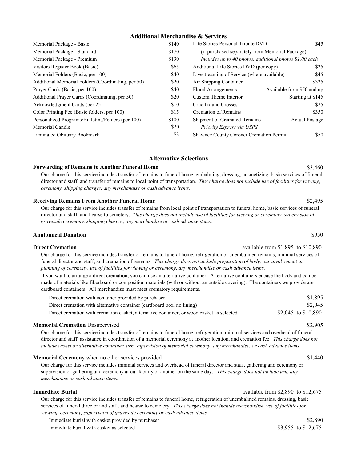#### **Additional Merchandise & Services**

| Memorial Package - Basic                           | \$140 | Life Stories Personal Tribute DVD                       | \$45                       |
|----------------------------------------------------|-------|---------------------------------------------------------|----------------------------|
| Memorial Package - Standard                        | \$170 | (if purchased separately from Memorial Package)         |                            |
| Memorial Package - Premium                         | \$190 | Includes up to 40 photos, additional photos \$1.00 each |                            |
| Visitors Register Book (Basic)                     | \$65  | Additional Life Stories DVD (per copy)                  | \$25                       |
| Memorial Folders (Basic, per 100)                  | \$40  | Livestreaming of Service (where available)              | \$45                       |
| Additional Memorial Folders (Coordinating, per 50) | \$20  | Air Shipping Container                                  | \$325                      |
| Prayer Cards (Basic, per 100)                      | \$40  | Floral Arrangements                                     | Available from \$50 and up |
| Additional Prayer Cards (Coordinating, per 50)     | \$20  | Custom Theme Interior                                   | Starting at \$145          |
| Acknowledgment Cards (per 25)                      | \$10  | Crucifix and Crosses                                    | \$25                       |
| Color Printing Fee (Basic folders, per 100)        | \$15  | Cremation of Remains                                    | \$350                      |
| Personalized Programs/Bulletins/Folders (per 100)  | \$100 | <b>Shipment of Cremated Remains</b>                     | <b>Actual Postage</b>      |
| Memorial Candle                                    | \$20  | Priority Express via USPS                               |                            |
| Laminated Obituary Bookmark                        | \$3   | Shawnee County Coroner Cremation Permit                 | \$50                       |

#### **Alternative Selections**

#### **Forwarding of Remains to Another Funeral Home**

Our charge for this service includes transfer of remains to funeral home, embalming, dressing, cosmetizing, basic services of funeral director and staff, and transfer of remains to local point of transportation. *This charge does not include use of facilities for viewing, ceremony, shipping charges, any merchandise or cash advance items.*

#### **Receiving Remains From Another Funeral Home**

Our charge for this service includes transfer of remains from local point of transportation to funeral home, basic services of funeral director and staff, and hearse to cemetery. *This charge does not include use of facilities for viewing or ceremony, supervision of graveside ceremony, shipping charges, any merchandise or cash advance items.*

#### **Anatomical Donation**

#### **Direct Cremation available from \$1,895 to \$10,890 available from \$1,895 to \$10,890**

Our charge for this service includes transfer of remains to funeral home, refrigeration of unembalmed remains, minimal services of funeral director and staff, and cremation of remains. *This charge does not include preparation of body, our involvement in planning of ceremony, use of facilities for viewing or ceremony, any merchandise or cash advance items.*

If you want to arrange a direct cremation, you can use an alternative container. Alternative containers encase the body and can be made of materials like fiberboard or composition materials (with or without an outside covering). The containers we provide are cardboard containers. All merchandise must meet crematory requirements.

| Direct cremation with container provided by purchaser                                     | \$1,895             |
|-------------------------------------------------------------------------------------------|---------------------|
| Direct cremation with alternative container (cardboard box, no lining)                    | \$2,045             |
| Direct cremation with cremation casket, alternative container, or wood casket as selected | \$2,045 to \$10,890 |

#### **Memorial Cremation** Unsupervised

Our charge for this service includes transfer of remains to funeral home, refrigeration, minimal services and overhead of funeral director and staff, assistance in coordination of a memorial ceremony at another location, and cremation fee. *This charge does not include casket or alternative container, urn, supervision of memorial ceremony, any merchandise, or cash advance items.*

#### **Memorial Ceremony** when no other services provided

Our charge for this service includes minimal services and overhead of funeral director and staff, gathering and ceremony or supervision of gathering and ceremony at our facility or another on the same day. *This charge does not include urn, any merchandise or cash advance items.*

#### **Immediate Burial**

#### available from \$2,890 to \$12,675

Our charge for this service includes transfer of remains to funeral home, refrigeration of unembalmed remains, dressing, basic services of funeral director and staff, and hearse to cemetery. *This charge does not include merchandise, use of facilities for viewing, ceremony, supervision of graveside ceremony or cash advance items.*

Immediate burial with casket provided by purchaser  $$2,890$ 

Immediate burial with casket as selected

\$3,955 to \$12,675

\$950

# \$2,905

\$1,440

# \$2,495

\$3,460